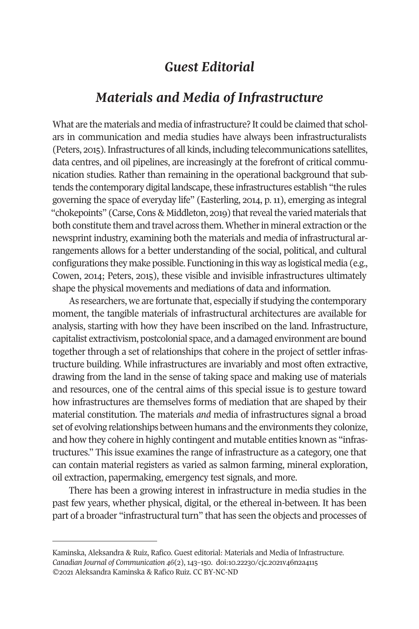## *Guest Editorial*

## *Materials and Media of Infrastructure*

What are the materials and media of infrastructure? It could be claimed that scholars in communication and media studies have always been infrastructuralists (Peters, 2015). Infrastructures of all kinds, including telecommunications satellites, data centres, and oil pipelines, are increasingly at the forefront of critical communication studies. Rather than remaining in the operational background that subtends the contemporary digital landscape, these infrastructures establish "the rules governing the space of everyday life" (Easterling, 2014, p. 11), emerging as integral "chokepoints" (Carse, Cons & Middleton, 2019) that reveal the varied materials that both constitute them and travel across them. Whether in mineral extraction or the newsprint industry, examining both the materials and media of infrastructural arrangements allows for a better understanding of the social, political, and cultural configurations they make possible. Functioning in this way as logistical media (e.g., Cowen, 2014; Peters, 2015), these visible and invisible infrastructures ultimately shape the physical movements and mediations of data and information.

As researchers, we are fortunate that, especially if studying the contemporary moment, the tangible materials of infrastructural architectures are available for analysis, starting with how they have been inscribed on the land. Infrastructure, capitalist extractivism, postcolonial space, and a damaged environment are bound together through a set of relationships that cohere in the project of settler infrastructure building. While infrastructures are invariably and most often extractive, drawing from the land in the sense of taking space and making use of materials and resources, one of the central aims of this special issue is to gesture toward how infrastructures are themselves forms of mediation that are shaped by their material constitution. The materials *and* media of infrastructures signal a broad [set of evolving relationships be](http://cjc-online.ca)tween humans [and the environments th](https://doi.org/10.22230/cjc.2021v46n2a4115)ey colonize, and how they cohere in highly contingent and mutable entities known as "infrastructures." This issue examines the range of infrastructure as a category, one that can contain material registers as varied as salmon farming, mineral exploration, oil extraction, papermaking, emergency test signals, and more.

There has been a growing interest in infrastructure in media studies in the past few years, whether physical, digital, or the ethereal in-between. It has been part of a broader "infrastructural turn" that has seen the objects and processes of

Kaminska, Aleksandra & Ruiz, Rafico. Guest editorial: Materials and Media of Infrastructure. *Canadian Journal of Communication 46*(2), 143–150. doi:10.22230/cjc.2021v46n2a4115 ©2021 Aleksandra Kaminska & Rafico Ruiz. CC BY-NC-ND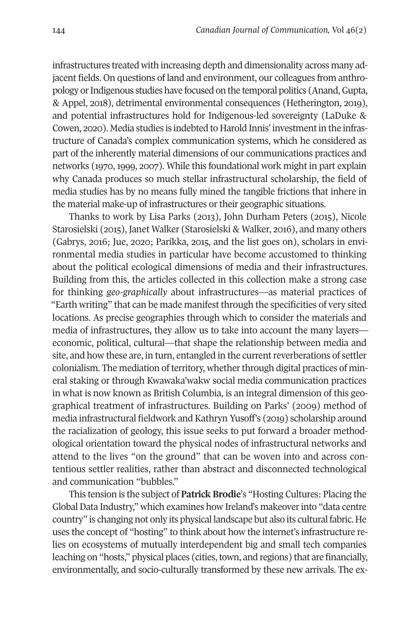infrastructures treated with increasing depth and dimensionality across many adjacent fields. On questions of land and environment, our colleagues from anthropology or Indigenous studies have focused on the temporal politics (Anand, Gupta, & Appel, 2018), detrimental environmental consequences (Hetherington, 2019), and potential infrastructures hold for Indigenous-led sovereignty (LaDuke & Cowen, 2020). Media studies is indebted to Harold Innis' investment in the infrastructure of Canada's complex communication systems, which he considered as part of the inherently material dimensions of our communications practices and networks (1970, 1999, 2007). While this foundational work might in part explain why Canada produces so much stellar infrastructural scholarship, the field of media studies has by no means fully mined the tangible frictions that inhere in the material make-up of infrastructures or their geographic situations.

Thanks to work by Lisa Parks (2013), John Durham Peters (2015), Nicole Starosielski (2015), Janet Walker (Starosielski & Walker, 2016), and many others (Gabrys, 2016; Jue, 2020; Parikka, 2015, and the list goes on), scholars in environmental media studies in particular have become accustomed to thinking about the political ecological dimensions of media and their infrastructures. Building from this, the articles collected in this collection make a strong case for thinking *geo-graphically* about infrastructures—as material practices of "Earth writing" that can be made manifest through the specificities of very sited locations. As precise geographies through which to consider the materials and media of infrastructures, they allow us to take into account the many layers economic, political, cultural—that shape the relationship between media and site, and how these are, in turn, entangled in the current reverberations of settler colonialism. The mediation of territory, whether through digital practices of mineral staking or through Kwawaka'wakw social media communication practices in what is now known as British Columbia, is an integral dimension of this geographical treatment of infrastructures. Building on Parks' (2009) method of media infrastructural fieldwork and Kathryn Yusoff's (2019) scholarship around the racialization of geology, this issue seeks to put forward a broader methodological orientation toward the physical nodes of infrastructural networks and attend to the lives "on the ground" that can be woven into and across contentious settler realities, rather than abstract and disconnected technological and communication "bubbles."

This tension is the subject of **Patrick Brodie**'s "Hosting Cultures: Placing the Global Data Industry," which examines how Ireland's makeover into "data centre country" is changing not only its physical landscape but also its cultural fabric. He uses the concept of "hosting" to think about how the internet's infrastructure relies on ecosystems of mutually interdependent big and small tech companies leaching on "hosts," physical places (cities, town, and regions) that are financially, environmentally, and socio-culturally transformed by these new arrivals. The ex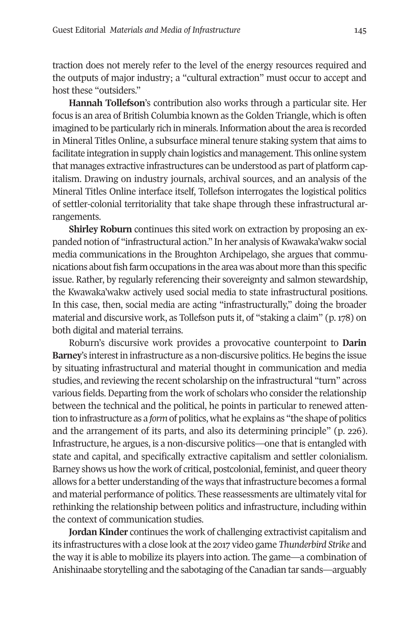traction does not merely refer to the level of the energy resources required and the outputs of major industry; a "cultural extraction" must occur to accept and host these "outsiders."

**Hannah Tollefson**'s contribution also works through a particular site. Her focus is an area of British Columbia known as the Golden Triangle, which is often imagined to be particularly rich in minerals. Information about the area is recorded in Mineral Titles Online, a subsurface mineral tenure staking system that aims to facilitate integration in supply chain logistics and management. This online system that manages extractive infrastructures can be understood as part of platform capitalism. Drawing on industry journals, archival sources, and an analysis of the Mineral Titles Online interface itself, Tollefson interrogates the logistical politics of settler-colonial territoriality that take shape through these infrastructural arrangements.

**Shirley Roburn** continues this sited work on extraction by proposing an expanded notion of "infrastructural action." In her analysis of Kwawaka'wakw social media communications in the Broughton Archipelago, she argues that communications about fish farm occupations in the area was about more than this specific issue. Rather, by regularly referencing their sovereignty and salmon stewardship, the Kwawaka'wakw actively used social media to state infrastructural positions. In this case, then, social media are acting "infrastructurally," doing the broader material and discursive work, as Tollefson puts it, of "staking a claim" (p. 178) on both digital and material terrains.

Roburn's discursive work provides a provocative counterpoint to **Darin Barney**'s interest in infrastructure as a non-discursive politics. He begins the issue by situating infrastructural and material thought in communication and media studies, and reviewing the recent scholarship on the infrastructural "turn" across various fields. Departing from the work of scholars who consider the relationship between the technical and the political, he points in particular to renewed attention to infrastructure as a *form* of politics, what he explains as "the shape of politics and the arrangement of its parts, and also its determining principle" (p. 226). Infrastructure, he argues, is a non-discursive politics—one that is entangled with state and capital, and specifically extractive capitalism and settler colonialism. Barney shows us how the work of critical, postcolonial, feminist, and queer theory allows for a better understanding of the ways that infrastructure becomes a formal and material performance of politics. These reassessments are ultimately vital for rethinking the relationship between politics and infrastructure, including within the context of communication studies.

**Jordan Kinder** continues the work of challenging extractivist capitalism and its infrastructures with a close look at the 2017 video game *Thunderbird Strike* and the way it is able to mobilize its players into action. The game—a combination of Anishinaabe storytelling and the sabotaging of the Canadian tar sands—arguably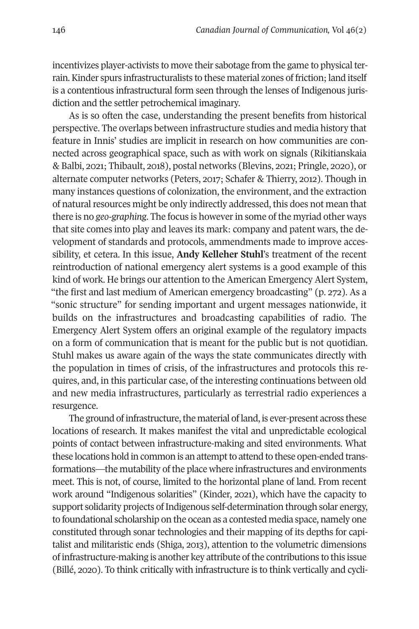incentivizes player-activists to move their sabotage from the game to physical terrain. Kinder spurs infrastructuralists to these material zones of friction; land itself is a contentious infrastructural form seen through the lenses of Indigenous jurisdiction and the settler petrochemical imaginary.

As is so often the case, understanding the present benefits from historical perspective. The overlaps between infrastructure studies and media history that feature in Innis' studies are implicit in research on how communities are connected across geographical space, such as with work on signals (Rikitianskaia & Balbi, 2021; Thibault, 2018), postal networks (Blevins, 2021; Pringle, 2020), or alternate computer networks (Peters, 2017; Schafer & Thierry, 2012). Though in many instances questions of colonization, the environment, and the extraction of natural resources might be only indirectly addressed, this does not mean that there is no *geo-graphing*. The focus is however in some of the myriad other ways that site comes into play and leaves its mark: company and patent wars, the development of standards and protocols, ammendments made to improve accessibility, et cetera. In this issue, **Andy Kelleher Stuhl**'s treatment of the recent reintroduction of national emergency alert systems is a good example of this kind of work. He brings our attention to the American Emergency Alert System, "the first and last medium of American emergency broadcasting" (p. 272). As a "sonic structure" for sending important and urgent messages nationwide, it builds on the infrastructures and broadcasting capabilities of radio. The Emergency Alert System offers an original example of the regulatory impacts on a form of communication that is meant for the public but is not quotidian. Stuhl makes us aware again of the ways the state communicates directly with the population in times of crisis, of the infrastructures and protocols this requires, and, in this particular case, of the interesting continuations between old and new media infrastructures, particularly as terrestrial radio experiences a resurgence.

The ground of infrastructure, the material of land, is ever-present across these locations of research. It makes manifest the vital and unpredictable ecological points of contact between infrastructure-making and sited environments. What these locations hold in common is an attempt to attend to these open-ended transformations—the mutability of the place where infrastructures and environments meet. This is not, of course, limited to the horizontal plane of land. From recent work around "Indigenous solarities" (Kinder, 2021), which have the capacity to support solidarity projects of Indigenous self-determination through solar energy, to foundational scholarship on the ocean as a contested media space, namely one constituted through sonar technologies and their mapping of its depths for capitalist and militaristic ends (Shiga, 2013), attention to the volumetric dimensions of infrastructure-making is another key attribute of the contributions to this issue (Billé, 2020). To think critically with infrastructure is to think vertically and cycli-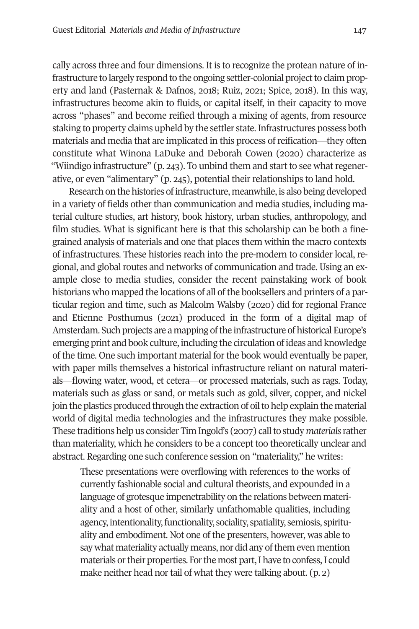cally across three and four dimensions. It is to recognize the protean nature of infrastructure to largely respond to the ongoing settler-colonial project to claim property and land (Pasternak & Dafnos, 2018; Ruiz, 2021; Spice, 2018). In this way, infrastructures become akin to fluids, or capital itself, in their capacity to move across "phases" and become reified through a mixing of agents, from resource staking to property claims upheld by the settler state. Infrastructures possess both materials and media that are implicated in this process of reification—they often constitute what Winona LaDuke and Deborah Cowen (2020) characterize as "Wiindigo infrastructure" (p. 243). To unbind them and start to see what regenerative, or even "alimentary" (p. 245), potential their relationships to land hold.

Research on the histories of infrastructure, meanwhile, is also being developed in a variety of fields other than communication and media studies, including material culture studies, art history, book history, urban studies, anthropology, and film studies. What is significant here is that this scholarship can be both a finegrained analysis of materials and one that places them within the macro contexts of infrastructures*.* These histories reach into the pre-modern to consider local, regional, and global routes and networks of communication and trade. Using an example close to media studies, consider the recent painstaking work of book historians who mapped the locations of all of the booksellers and printers of a particular region and time, such as Malcolm Walsby (2020) did for regional France and Etienne Posthumus (2021) produced in the form of a digital map of Amsterdam. Such projects are a mapping of the infrastructure of historical Europe's emerging print and book culture, including the circulation of ideas and knowledge of the time. One such important material for the book would eventually be paper, with paper mills themselves a historical infrastructure reliant on natural materials—flowing water, wood, et cetera—or processed materials, such as rags. Today, materials such as glass or sand, or metals such as gold, silver, copper, and nickel join the plastics produced through the extraction of oil to help explain the material world of digital media technologies and the infrastructures they make possible. These traditions help us consider Tim Ingold's (2007) call to study *materials* rather than materiality, which he considers to be a concept too theoretically unclear and abstract. Regarding one such conference session on "materiality," he writes:

These presentations were overflowing with references to the works of currently fashionable social and cultural theorists, and expounded in a language of grotesque impenetrability on the relations between materiality and a host of other, similarly unfathomable qualities, including agency, intentionality, functionality, sociality, spatiality, semiosis, spirituality and embodiment. Not one of the presenters, however, was able to say what materiality actually means, nor did any of them even mention materials or their properties. For the most part, I have to confess, I could make neither head nor tail of what they were talking about. (p. 2)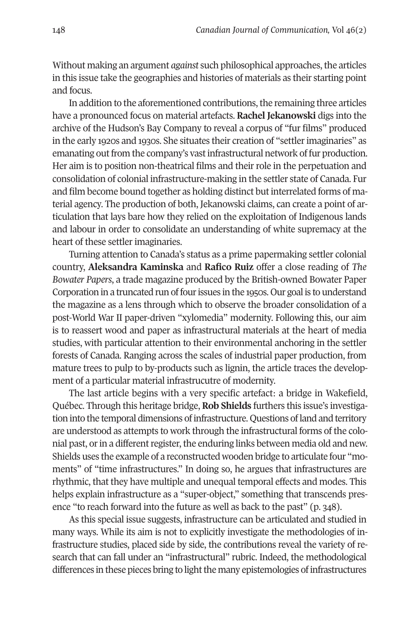Without making an argument *against* such philosophical approaches, the articles in this issue take the geographies and histories of materials as their starting point and focus.

In addition to the aforementioned contributions, the remaining three articles have a pronounced focus on material artefacts. **Rachel Jekanowski** digs into the archive of the Hudson's Bay Company to reveal a corpus of "fur films" produced in the early 1920s and 1930s. She situates their creation of "settler imaginaries" as emanating out from the company's vast infrastructural network of fur production. Her aim is to position non-theatrical films and their role in the perpetuation and consolidation of colonial infrastructure-making in the settler state of Canada. Fur and film become bound together as holding distinct but interrelated forms of material agency. The production of both, Jekanowski claims, can create a point of articulation that lays bare how they relied on the exploitation of Indigenous lands and labour in order to consolidate an understanding of white supremacy at the heart of these settler imaginaries.

Turning attention to Canada's status as a prime papermaking settler colonial country, **Aleksandra Kaminska** and **Rafico Ruiz** offer a close reading of *The Bowater Papers*, a trade magazine produced by the British-owned Bowater Paper Corporation in a truncated run of four issues in the 1950s. Our goal is to understand the magazine as a lens through which to observe the broader consolidation of a post-World War II paper-driven "xylomedia" modernity. Following this, our aim is to reassert wood and paper as infrastructural materials at the heart of media studies, with particular attention to their environmental anchoring in the settler forests of Canada. Ranging across the scales of industrial paper production, from mature trees to pulp to by-products such as lignin, the article traces the development of a particular material infrastrucutre of modernity.

The last article begins with a very specific artefact: a bridge in Wakefield, Québec. Through this heritage bridge, **Rob Shields** furthers this issue's investigation into the temporal dimensions of infrastructure. Questions of land and territory are understood as attempts to work through the infrastructural forms of the colonial past, or in a different register, the enduring links between media old and new. Shields uses the example of a reconstructed wooden bridge to articulate four "moments" of "time infrastructures." In doing so, he argues that infrastructures are rhythmic, that they have multiple and unequal temporal effects and modes. This helps explain infrastructure as a "super-object," something that transcends presence "to reach forward into the future as well as back to the past" (p. 348).

As this special issue suggests, infrastructure can be articulated and studied in many ways. While its aim is not to explicitly investigate the methodologies of infrastructure studies, placed side by side, the contributions reveal the variety of research that can fall under an "infrastructural" rubric. Indeed, the methodological differences in these pieces bring to light the many epistemologies of infrastructures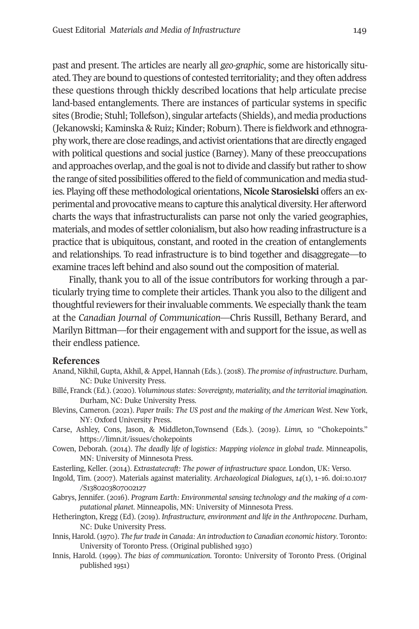## Guest Editorial *Materials and Media of Infrastructure* 149

past and present. The articles are nearly all *geo-graphic*, some are historically situated. They are bound to questions of contested territoriality; and they often address these questions through thickly described locations that help articulate precise land-based entanglements. There are instances of particular systems in specific sites (Brodie; Stuhl; Tollefson), singular artefacts (Shields), and media productions (Jekanowski; Kaminska & Ruiz; Kinder; Roburn). There is fieldwork and ethnography work, there are close readings, and activist orientations that are directly engaged with political questions and social justice (Barney). Many of these preoccupations and approaches overlap, and the goal is not to divide and classify but rather to show the range of sited possibilities offered to the field of communication and media studies. Playing off these methodological orientations, **Nicole Starosielski** offers an experimental and provocative means to capture this analytical diversity. Her afterword charts the ways that infrastructuralists can parse not only the varied geographies, materials, and modes of settler colonialism, but also how reading infrastructure is a practice that is ubiquitous, constant, and rooted in the creation of entanglements and relationships. To read infrastructure is to bind together and disaggregate—to examine traces left behind and also sound out the composition of material.

Finally, thank you to all of the issue contributors for working through a particularly trying time to complete their articles. Thank you also to the diligent and thoug[htful reviewers for their invalua](https://limn.it/issues/chokepoints)ble comments. We especially thank the team at the *Canadian Journal of Communication*—Chris Russill, Bethany Berard, and Marilyn Bittman—for their engagement with and support for the issue, as [well as](https://doi.org/10.1017/S1380203807002127)  their e[ndless patience.](https://doi.org/10.1017/S1380203807002127) 

## **References**

- Anand, Nikhil, Gupta, Akhil, & Appel, Hannah (Eds.). (2018). *The promise of infrastructure*. Durham, NC: Duke University Press.
- Billé, Franck (Ed.). (2020). *Voluminous states: Sovereignty, materiality, and the territorial imagination*. Durham, NC: Duke University Press.
- Blevins, Cameron. (2021). *Paper trails: The US post and the making of the American West*. New York, NY: Oxford University Press.
- Carse, Ashley, Cons, Jason, & Middleton,Townsend (Eds.). (2019). *Limn,* 10 "Chokepoints." https://limn.it/issues/chokepoints
- Cowen, Deborah. (2014). *The deadly life of logistics: Mapping violence in global trade*. Minneapolis, MN: University of Minnesota Press.
- Easterling, Keller. (2014). *Extrastatecraft: The power of infrastructure space.* London, UK: Verso.
- Ingold, Tim. (2007). Materials against materiality. *Archaeological Dialogues*, *14*(1), 1–16. doi:10.1017 /S1380203807002127
- Gabrys, Jennifer. (2016). *Program Earth: Environmental sensing technology and the making of a computational planet*. Minneapolis, MN: University of Minnesota Press.
- Hetherington, Kregg (Ed). (2019). *Infrastructure, environment and life in the Anthropocene*. Durham, NC: Duke University Press.
- Innis, Harold. (1970). *The fur trade in Canada: An introduction to Canadian economic history*. Toronto: University of Toronto Press. (Original published 1930)
- Innis, Harold. (1999). *The bias of communication*. Toronto: University of Toronto Press. (Original published 1951)